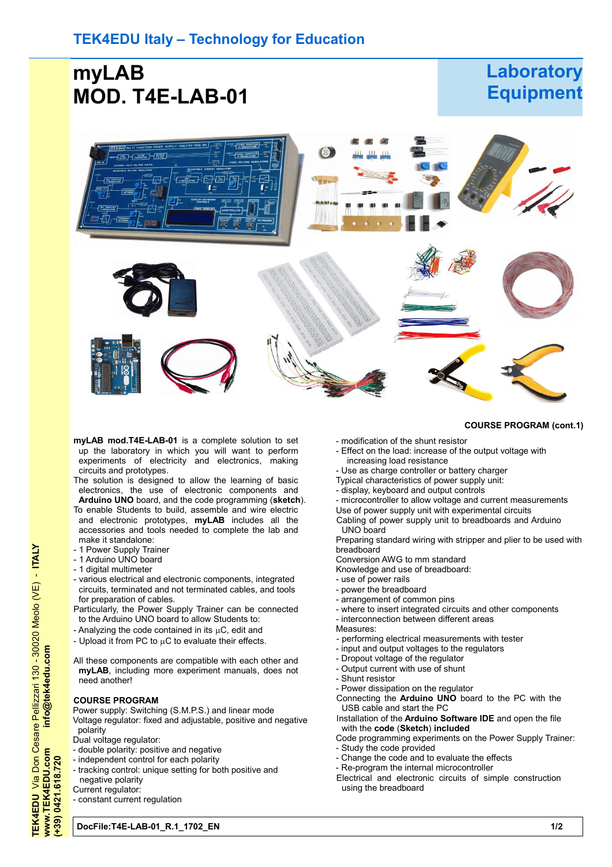# **myLAB MOD. T4E-LAB-01**

# **Laboratory Equipment**

**COURSE PROGRAM (cont.1)**



- **myLAB mod.T4E-LAB-01** is a complete solution to set up the laboratory in which you will want to perform experiments of electricity and electronics, making circuits and prototypes.
- The solution is designed to allow the learning of basic electronics, the use of electronic components and **Arduino UNO** board, and the code programming (**sketch**).
- To enable Students to build, assemble and wire electric and electronic prototypes, **myLAB** includes all the accessories and tools needed to complete the lab and make it standalone:
- 1 Power Supply Trainer
- 1 Arduino UNO board
- 1 digital multimeter
- various electrical and electronic components, integrated circuits, terminated and not terminated cables, and tools for preparation of cables.
- Particularly, the Power Supply Trainer can be connected to the Arduino UNO board to allow Students to:
- Analyzing the code contained in its  $\mu$ C, edit and
- Upload it from PC to  $\mu$ C to evaluate their effects.
- All these components are compatible with each other and **myLAB**, including more experiment manuals, does not need another!

### **COURSE PROGRAM**

Power supply: Switching (S.M.P.S.) and linear mode Voltage regulator: fixed and adjustable, positive and negative polarity

- Dual voltage regulator:
- double polarity: positive and negative
- independent control for each polarity
- tracking control: unique setting for both positive and
- negative polarity
- Current regulator: - constant current regulation
	-
- modification of the shunt resistor
- Effect on the load: increase of the output voltage with increasing load resistance
- Use as charge controller or battery charger
- Typical characteristics of power supply unit:
- display, keyboard and output controls
- microcontroller to allow voltage and current measurements
- Use of power supply unit with experimental circuits Cabling of power supply unit to breadboards and Arduino UNO board

Preparing standard wiring with stripper and plier to be used with breadboard

Conversion AWG to mm standard

- Knowledge and use of breadboard:
- use of power rails
- power the breadboard
- arrangement of common pins
- where to insert integrated circuits and other components
- interconnection between different areas
- Measures:
- performing electrical measurements with tester
- input and output voltages to the regulators
- Dropout voltage of the regulator
- Output current with use of shunt
- Shunt resistor
- Power dissipation on the regulator
- Connecting the **Arduino UNO** board to the PC with the USB cable and start the PC
- Installation of the **Arduino Software IDE** and open the file with the **code** (**Sketch**) **included**
- Code programming experiments on the Power Supply Trainer:
- Study the code provided
- Change the code and to evaluate the effects
- Re-program the internal microcontroller
- Electrical and electronic circuits of simple construction using the breadboard